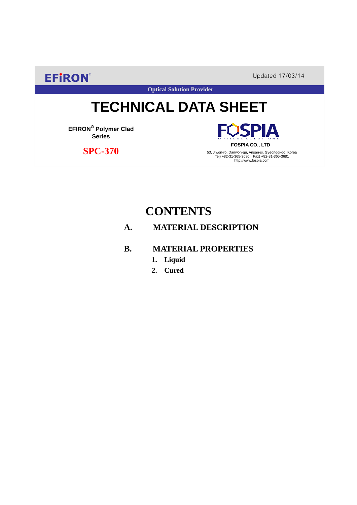**EFIRON®** Updated 17/03/14

**Optical Solution Provider**

# **TECHNICAL DATA SHEET**

**EFIRON**® **Polymer Clad Series**

 **SPC-370**

**SPIA FOSPIA CO., LTD**

53, Jiwon-ro, Danwon-gu, Ansan-si, Gyeonggi-do, Korea Tel) +82-31-365-3680 Fax) +82-31-365-3681 http://www.fospia.com

## **CONTENTS**

### **A. MATERIAL DESCRIPTION**

#### **B. MATERIAL PROPERTIES**

- **1. Liquid**
- **2. Cured**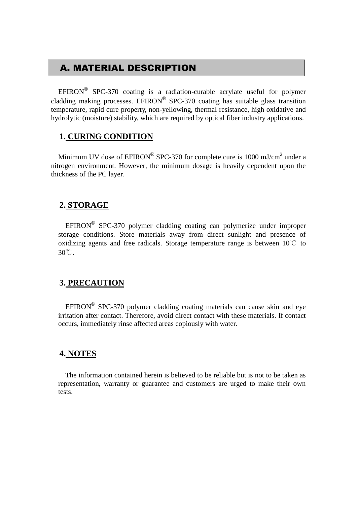## A. MATERIAL DESCRIPTION

EFIRON<sup>®</sup> SPC-370 coating is a radiation-curable acrylate useful for polymer cladding making processes. EFIRON<sup>®</sup> SPC-370 coating has suitable glass transition temperature, rapid cure property, non-yellowing, thermal resistance, high oxidative and hydrolytic (moisture) stability, which are required by optical fiber industry applications.

#### **1. CURING CONDITION**

Minimum UV dose of  $EPIRON^{\circledR}$  SPC-370 for complete cure is 1000 mJ/cm<sup>2</sup> under a nitrogen environment. However, the minimum dosage is heavily dependent upon the thickness of the PC layer.

#### **2. STORAGE**

 $EFINON^{\circledR}$  SPC-370 polymer cladding coating can polymerize under improper storage conditions. Store materials away from direct sunlight and presence of oxidizing agents and free radicals. Storage temperature range is between  $10^{\circ}$  to 30℃.

#### **3. PRECAUTION**

 $EFINON^{\circledR}$  SPC-370 polymer cladding coating materials can cause skin and eye irritation after contact. Therefore, avoid direct contact with these materials. If contact occurs, immediately rinse affected areas copiously with water.

#### **4. NOTES**

The information contained herein is believed to be reliable but is not to be taken as representation, warranty or guarantee and customers are urged to make their own tests.